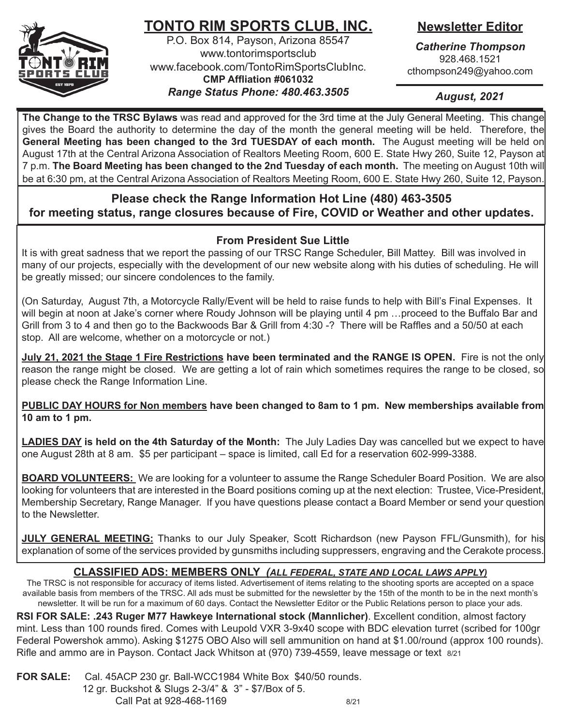

## **TONTO RIM SPORTS CLUB, INC.**

P.O. Box 814, Payson, Arizona 85547 www.tontorimsportsclub www.facebook.com/TontoRimSportsClubInc. **CMP Affliation #061032** *Range Status Phone: 480.463.3505*

## **Newsletter Editor**

*Catherine Thompson* 928.468.1521 cthompson249@yahoo.com

*August, 2021*

**The Change to the TRSC Bylaws** was read and approved for the 3rd time at the July General Meeting. This change gives the Board the authority to determine the day of the month the general meeting will be held. Therefore, the **General Meeting has been changed to the 3rd TUESDAY of each month.** The August meeting will be held on August 17th at the Central Arizona Association of Realtors Meeting Room, 600 E. State Hwy 260, Suite 12, Payson at 7 p.m. **The Board Meeting has been changed to the 2nd Tuesday of each month.** The meeting on August 10th will be at 6:30 pm, at the Central Arizona Association of Realtors Meeting Room, 600 E. State Hwy 260, Suite 12, Payson.

## **Please check the Range Information Hot Line (480) 463-3505 for meeting status, range closures because of Fire, COVID or Weather and other updates.**

## **From President Sue Little**

It is with great sadness that we report the passing of our TRSC Range Scheduler, Bill Mattey. Bill was involved in many of our projects, especially with the development of our new website along with his duties of scheduling. He will be greatly missed; our sincere condolences to the family.

(On Saturday, August 7th, a Motorcycle Rally/Event will be held to raise funds to help with Bill's Final Expenses. It will begin at noon at Jake's corner where Roudy Johnson will be playing until 4 pm …proceed to the Buffalo Bar and Grill from 3 to 4 and then go to the Backwoods Bar & Grill from 4:30 -? There will be Raffles and a 50/50 at each stop. All are welcome, whether on a motorcycle or not.)

**July 21, 2021 the Stage 1 Fire Restrictions have been terminated and the RANGE IS OPEN.** Fire is not the only reason the range might be closed. We are getting a lot of rain which sometimes requires the range to be closed, so please check the Range Information Line.

**PUBLIC DAY HOURS for Non members have been changed to 8am to 1 pm. New memberships available from 10 am to 1 pm.** 

**LADIES DAY is held on the 4th Saturday of the Month:** The July Ladies Day was cancelled but we expect to have one August 28th at 8 am. \$5 per participant – space is limited, call Ed for a reservation 602-999-3388.

**BOARD VOLUNTEERS:** We are looking for a volunteer to assume the Range Scheduler Board Position. We are also looking for volunteers that are interested in the Board positions coming up at the next election: Trustee, Vice-President, Membership Secretary, Range Manager. If you have questions please contact a Board Member or send your question to the Newsletter.

**JULY GENERAL MEETING:** Thanks to our July Speaker, Scott Richardson (new Payson FFL/Gunsmith), for his explanation of some of the services provided by gunsmiths including suppressers, engraving and the Cerakote process.

## **CLASSIFIED ADS: MEMBERS ONLY** *(ALL FEDERAL, STATE AND LOCAL LAWS APPLY)*

The TRSC is not responsible for accuracy of items listed. Advertisement of items relating to the shooting sports are accepted on a space available basis from members of the TRSC. All ads must be submitted for the newsletter by the 15th of the month to be in the next month's newsletter. It will be run for a maximum of 60 days. Contact the Newsletter Editor or the Public Relations person to place your ads.

**RSI FOR SALE: .243 Ruger M77 Hawkeye International stock (Mannlicher)**. Excellent condition, almost factory mint. Less than 100 rounds fired. Comes with Leupold VXR 3-9x40 scope with BDC elevation turret (scribed for 100gr Federal Powershok ammo). Asking \$1275 OBO Also will sell ammunition on hand at \$1.00/round (approx 100 rounds). Rifle and ammo are in Payson. Contact Jack Whitson at (970) 739-4559, leave message or text 8/21

**FOR SALE:** Cal. 45ACP 230 gr. Ball-WCC1984 White Box \$40/50 rounds. 12 gr. Buckshot & Slugs 2-3/4" & 3" - \$7/Box of 5. Call Pat at 928-468-1169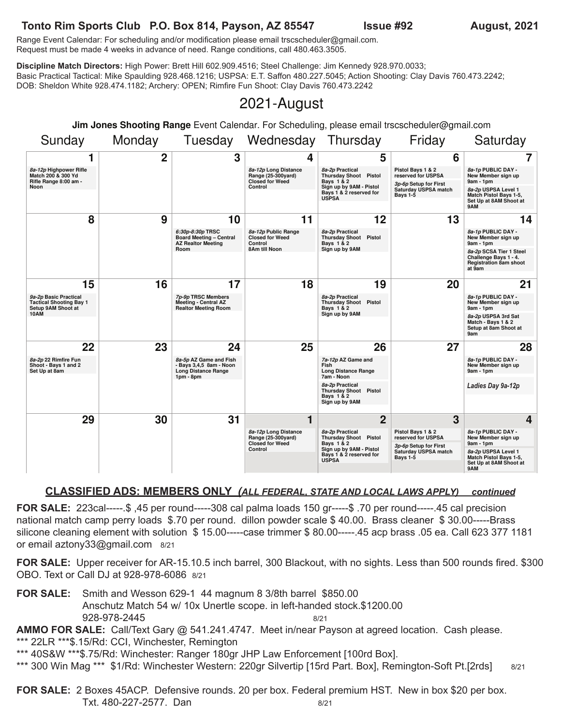# Tonto Rim Sports Club P.O. Box 814, Payson, AZ 85547 **ISSUE #92** August, 2021

**Bays 1 & 2 reserved for Issue #92** 

Range Event Calendar: For scheduling and/or modification please email trscscheduler@gmail.com. **1 2 3 4** Range Event Calendar: For scrieduling and/or modification please email trscscrieduler@gmail<br>Request must be made 4 weeks in advance of need. Range conditions, call 480.463.3505.

Discipline Match Directors: High Power: Brett Hill 602.909.4516; Steel Challenge: Jim Kennedy 928.970.0033; Discipline Match Directors. High Power. Brett Hill 602.909.4510, Steel Challenge. Jim Kennedy 920.970.0055,<br>Basic Practical Tactical: Mike Spaulding 928.468.1216; USPSA: E.T. Saffon 480.227.5045; Action Shooting: Clay Davi DOB: Sheldon White 928.474.1182; Archery: OPEN; Rimfire Fun Shoot: Clay Davis 760.473.2242 ch Directors: High Power: Brett Hill 602.909.4516; Steel Challenge: Jim Kennedy 928.970.0033; Practical Tactical: Mike Spaulding 928.468.1216; USPSA: E.T. Saffon 480.227.5045; Action Shooting: Clay Davis 760.473.2242;<br>Sheldon White 928.474.1182; Archery: OPEN; Rimfire Fun Shoot: Clay Davis 760.473.2242 **8a-2p SCSA Tier 1 Steel**

#### 2021-August **2 3 4 021-Augu 8a-2p Practical 8 9 10**

Jim Jones Shooting Range Event Calendar. For Scheduling, please email trscscheduler@gmail.com **Bays 1 & 2 reserved for a 2 Bays 1-5 9am - 1pm nge** Event Calendar. For Scheduling, please email trscscheduler@gmail.com **Match Pistol Bays 1-5, Room 8AM** 1 **Sign up by 9AM 8** Soturdov

| Sunday                                                                        | Monday | Tuesday                                                                                       | Wednesday                                                                       | Thursday                                                                                                                            | Friday                                                                                                      | Saturday                                                                                    |
|-------------------------------------------------------------------------------|--------|-----------------------------------------------------------------------------------------------|---------------------------------------------------------------------------------|-------------------------------------------------------------------------------------------------------------------------------------|-------------------------------------------------------------------------------------------------------------|---------------------------------------------------------------------------------------------|
| 1                                                                             | 2      | 3                                                                                             | 4                                                                               | 5                                                                                                                                   | 6                                                                                                           |                                                                                             |
| 8a-12p Highpower Rifle<br>Match 200 & 300 Yd<br>Rifle Range 8:00 am -         |        |                                                                                               | 8a-12p Long Distance<br>Range (25-300yard)<br><b>Closed for Weed</b>            | 8a-2p Practical<br><b>Thursday Shoot Pistol</b><br>Bays 1 & 2                                                                       | Pistol Bays 1 & 2<br>reserved for USPSA<br>3p-6p Setup for First                                            | 8a-1p PUBLIC DAY -<br>New Member sign up<br>9am - 1pm                                       |
| Noon                                                                          |        |                                                                                               | Control                                                                         | Sign up by 9AM - Pistol<br>Bays 1 & 2 reserved for<br><b>USPSA</b>                                                                  | Saturday USPSA match<br><b>Bays 1-5</b>                                                                     | 8a-2p USPSA Level 1<br>Match Pistol Bays 1-5,<br>Set Up at 8AM Shoot at<br>9AM              |
| 8                                                                             | 9      | 10                                                                                            | 11                                                                              | 12                                                                                                                                  | 13                                                                                                          | 14                                                                                          |
|                                                                               |        | 6:30p-8:30p TRSC<br><b>Board Meeting - Central</b><br><b>AZ Realtor Meeting</b>               | 8a-12p Public Range<br><b>Closed for Weed</b><br>Control                        | 8a-2p Practical<br>Thursday Shoot Pistol<br>Bays 1 & 2                                                                              |                                                                                                             | 8a-1p PUBLIC DAY -<br>New Member sign up<br>$9am - 1pm$                                     |
|                                                                               |        | Room                                                                                          | 8Am till Noon                                                                   | Sign up by 9AM                                                                                                                      |                                                                                                             | 8a-2p SCSA Tier 1 Steel<br>Challenge Bays 1 - 4.<br><b>Registration 8am shoot</b><br>at 9am |
| 15                                                                            | 16     | 17                                                                                            | 18                                                                              | 19                                                                                                                                  | 20                                                                                                          | 21                                                                                          |
| 9a-2p Basic Practical<br><b>Tactical Shooting Bay 1</b><br>Setup 9AM Shoot at |        | 7p-9p TRSC Members<br>Meeting - Central AZ<br><b>Realtor Meeting Room</b>                     |                                                                                 | 8a-2p Practical<br><b>Thursday Shoot Pistol</b><br>Bays 1 & 2                                                                       | 8a-1p PUBLIC DAY -<br>New Member sign up<br>$9am - 1pm$                                                     |                                                                                             |
| 10AM                                                                          |        |                                                                                               |                                                                                 | Sign up by 9AM                                                                                                                      |                                                                                                             | 8a-2p USPSA 3rd Sat<br>Match - Bays 1 & 2<br>Setup at 8am Shoot at<br>9am                   |
| 22                                                                            | 23     | 24<br>8a-5p AZ Game and Fish<br>- Bays 3,4,5 8am - Noon<br>Long Distance Range<br>$1pm - 8pm$ | 25                                                                              | 26                                                                                                                                  | 27                                                                                                          | 28                                                                                          |
| 8a-2p 22 Rimfire Fun<br>Shoot - Bays 1 and 2<br>Set Up at 8am                 |        |                                                                                               |                                                                                 | 7a-12p AZ Game and<br>Fish<br><b>Long Distance Range</b><br>7am - Noon                                                              |                                                                                                             | 8a-1p PUBLIC DAY -<br>New Member sign up<br>$9am - 1pm$                                     |
|                                                                               |        |                                                                                               |                                                                                 | 8a-2p Practical<br><b>Thursday Shoot Pistol</b><br>Bays 1 & 2                                                                       |                                                                                                             | Ladies Day 9a-12p                                                                           |
|                                                                               |        |                                                                                               |                                                                                 | Sign up by 9AM                                                                                                                      |                                                                                                             |                                                                                             |
| 29                                                                            | 30     | 31                                                                                            | 1                                                                               | $\overline{2}$                                                                                                                      | 3                                                                                                           | 4                                                                                           |
|                                                                               |        |                                                                                               | 8a-12p Long Distance<br>Range (25-300yard)<br><b>Closed for Weed</b><br>Control | 8a-2p Practical<br><b>Thursday Shoot Pistol</b><br>Bays 1 & 2<br>Sign up by 9AM - Pistol<br>Bays 1 & 2 reserved for<br><b>USPSA</b> | Pistol Bays 1 & 2<br>reserved for USPSA<br>3p-6p Setup for First<br>Saturday USPSA match<br><b>Bays 1-5</b> | 8a-1p PUBLIC DAY -<br>New Member sign up<br>$9am - 1pm$                                     |
|                                                                               |        |                                                                                               |                                                                                 |                                                                                                                                     |                                                                                                             | 8a-2p USPSA Level 1<br>Match Pistol Bays 1-5,<br>Set Up at 8AM Shoot at<br>9AM              |
|                                                                               |        |                                                                                               |                                                                                 |                                                                                                                                     |                                                                                                             |                                                                                             |

### CLASSIFIED ADS: MEMBERS ONLY (ALL FEDERAL, STATE AND LOCAL LAWS APPLY) continued

**FOR SALE:** 223cal-----.\$ ,45 per round-----308 cal palma loads 150 gr-----\$ .70 per round-----.45 cal precision national match camp perry loads \$.70 per round. dillon powder scale \$ 40.00. Brass cleaner \$ 30.00-----Brass silicone cleaning element with solution \$ 15.00-----case trimmer \$ 80.00-----.45 acp brass .05 ea. Call 623 377 1181 or email aztony33@gmail.com 8/21 **Combin 1 Bondard** 150 gr-----\$ .70 p **3p-6p Setup for First Saturday USPSA match Bays 1-5 8a-2p USPSA Level 1 Match Pistol Bays 1-5,**

FOR SALE: Upper receiver for AR-15.10.5 inch barrel, 300 Blackout, with no sights. Less than 500 rounds fired. \$300 OBO. Text or Call DJ at 928-978-6086 8/21 **Less than 50 9am - 1pm 8**, with no sights. Less than 500 rounds fired.

**FOR SALE:** Smith and Wesson 629-1 44 magnum 8 3/8th barrel \$850.00 Anschutz Match 54 w/ 10x Unertle scope. in left-handed stock.\$1200.00 928-978-2445 **Bays 1 & 2 Sign up by 9AM - Pistol**

AMMO FOR SALE: Call/Text Gary @ 541.241.4747. Meet in/near Payson at agreed location. Cash please.

\*\*\* 22LR \*\*\*\$.15/Rd: CCI, Winchester, Remington

\*\*\* 40S&W \*\*\*\$.75/Rd: Winchester: Ranger 180gr JHP Law Enforcement [100rd Box]. **29 30 31 1 2**

\*\*\* 300 Win Mag \*\*\* \$1/Rd: Winchester Western: 220gr Silvertip [15rd Part. Box], Remington-Soft Pt.[2rds] 8/21 **Closed for Weed 9am - 1pm**

FOR SALE: 2 Boxes 45ACP. Defensive rounds. 20 per box. Federal premium HST. New in box \$20 per box. Txt. 480-227-2577. Dan 8/21 **9AM**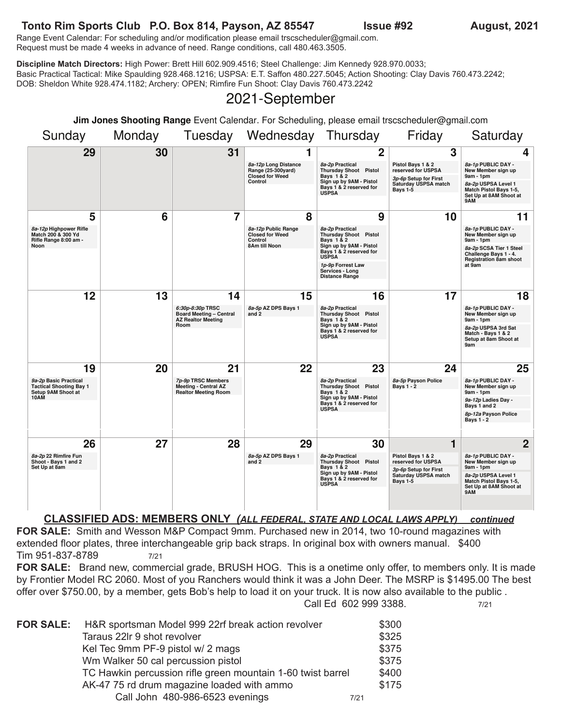### Tonto Rim Sports Club P.O. Box 814, Payson, AZ 85547 **Issue #92** August, 2021 **Jim Jones Shooting Range** Event Calendar. For Scheduling, please email trscscheduler@gmail.com

TUTTU NIIT SPUTS CIUD P.O. DUX 014, PaySUIT, AZ 00047<br>Range Event Calendar: For scheduling and/or modification please email trscscheduler@gmail.com. Request must be made 4 weeks in advance of need. Range conditions, call 480.463.3505.

Discipline Match Directors: High Power: Brett Hill 602.909.4516; Steel Challenge: Jim Kennedy 928.970.0033;<br>Product of the contract of the contract of the contract of the contract of the contract of the contract of the Basic Practical Tactical: Mike Spaulding 928.468.1216; USPSA: E.T. Saffon 480.227.5045; Action Shooting: Clay Davis 760.473.2242;<br>DOB: Sheldon White 928.474.1182; Archery: OPEN; Rimfire Fun Shoot: Clay Davis 760.473.2242 DOB: Sheldon White 928.474.1182; Archery: OPEN; Rimfire Fun Shoot: Clay Davis 760.473.2242 **Saturday USPSA match** cal: Mike Spaulding 928.468.1216; USPSA: E.T. Saffon 480.227.5045; Action Shooting: Clay Davis 760.473.2242;<br>- 200.474.4499: Archary ODEN: Diprice Eve Chast: Clay Davis 760.472.2049

#### **2021-September Pays 1**

| Jim Jones Shooting Range Event Calendar. For Scheduling, please email trscscheduler@gmail.com |        |                                                                                  |                                                                      |                                                                                                                                                |                                                                  |                                                                                   |
|-----------------------------------------------------------------------------------------------|--------|----------------------------------------------------------------------------------|----------------------------------------------------------------------|------------------------------------------------------------------------------------------------------------------------------------------------|------------------------------------------------------------------|-----------------------------------------------------------------------------------|
| Sunday                                                                                        | Monday |                                                                                  | Tuesday Wednesday Thursday                                           |                                                                                                                                                | Friday                                                           | Saturday                                                                          |
| 29                                                                                            | 30     | 31                                                                               | 1                                                                    | 2                                                                                                                                              | 3                                                                | 4                                                                                 |
|                                                                                               |        |                                                                                  | 8a-12p Long Distance<br>Range (25-300yard)<br><b>Closed for Weed</b> | 8a-2p Practical<br><b>Thursday Shoot Pistol</b><br>Bays 1 & 2                                                                                  | Pistol Bays 1 & 2<br>reserved for USPSA<br>3p-6p Setup for First | 8a-1p PUBLIC DAY -<br>New Member sign up<br>$9am - 1pm$                           |
|                                                                                               |        |                                                                                  | Control                                                              | Sign up by 9AM - Pistol<br>Bays 1 & 2 reserved for<br><b>USPSA</b>                                                                             | Saturday USPSA match<br>Bays 1-5                                 | 8a-2p USPSA Level 1<br>Match Pistol Bays 1-5.<br>Set Up at 8AM Shoot at           |
| 5                                                                                             | 6      | 7                                                                                | 8                                                                    | 9                                                                                                                                              | 10                                                               | 9AM<br>11                                                                         |
| 8a-12p Highpower Rifle                                                                        |        |                                                                                  | 8a-12p Public Range                                                  | 8a-2p Practical                                                                                                                                |                                                                  | 8a-1p PUBLIC DAY -                                                                |
| Match 200 & 300 Yd<br>Rifle Range 8:00 am -<br>Noon                                           |        |                                                                                  | <b>Closed for Weed</b><br>Control<br>8Am till Noon                   | Thursday Shoot Pistol<br>Bays 1 & 2<br>Sign up by 9AM - Pistol                                                                                 |                                                                  | New Member sign up<br>$9am - 1pm$                                                 |
|                                                                                               |        |                                                                                  |                                                                      | Bays 1 & 2 reserved for<br><b>USPSA</b>                                                                                                        |                                                                  | 8a-2p SCSA Tier 1 Steel<br>Challenge Bays 1 - 4.<br><b>Registration 8am shoot</b> |
|                                                                                               |        |                                                                                  |                                                                      | 1p-9p Forrest Law<br>Services - Long<br><b>Distance Range</b>                                                                                  |                                                                  | at 9am                                                                            |
| 12                                                                                            | 13     | 14                                                                               | 15                                                                   | 16                                                                                                                                             | 17                                                               | 18                                                                                |
|                                                                                               |        | 6:30p-8:30p TRSC                                                                 | 8a-5p AZ DPS Bays 1                                                  | 8a-2p Practical                                                                                                                                |                                                                  | 8a-1p PUBLIC DAY -                                                                |
|                                                                                               |        | <b>Board Meeting - Central</b><br><b>AZ Realtor Meeting</b><br>Room              | and $2$                                                              | <b>Thursday Shoot Pistol</b><br>Bays 1 & 2<br>Sign up by 9AM - Pistol                                                                          |                                                                  | New Member sign up<br>9am - 1pm                                                   |
|                                                                                               |        |                                                                                  |                                                                      | Bays 1 & 2 reserved for<br><b>USPSA</b>                                                                                                        |                                                                  | 8a-2p USPSA 3rd Sat<br>Match - Bays 1 & 2<br>Setup at 8am Shoot at                |
|                                                                                               |        |                                                                                  |                                                                      |                                                                                                                                                |                                                                  | 9am                                                                               |
| 19                                                                                            | 20     | 21                                                                               | 22                                                                   | 23                                                                                                                                             | 24                                                               | 25                                                                                |
| 9a-2p Basic Practical<br><b>Tactical Shooting Bay 1</b><br>Setup 9AM Shoot at                 |        | 7p-9p TRSC Members<br><b>Meeting - Central AZ</b><br><b>Realtor Meeting Room</b> |                                                                      | 8a-2p Practical<br><b>Thursday Shoot Pistol</b><br><b>Bavs 1 &amp; 2</b><br>Sign up by 9AM - Pistol<br>Bays 1 & 2 reserved for<br><b>USPSA</b> | 8a-5p Payson Police<br>Bays $1 - 2$                              | 8a-1p PUBLIC DAY -<br>New Member sign up<br>$9am - 1pm$                           |
| 10AM                                                                                          |        |                                                                                  |                                                                      |                                                                                                                                                |                                                                  | 9a-12p Ladies Day -<br>Bays 1 and 2                                               |
|                                                                                               |        |                                                                                  |                                                                      |                                                                                                                                                |                                                                  | 8p-12a Payson Police<br><b>Bays 1 - 2</b>                                         |
|                                                                                               |        |                                                                                  |                                                                      |                                                                                                                                                |                                                                  |                                                                                   |
| 26<br>8a-2p 22 Rimfire Fun                                                                    | 27     | 28                                                                               | 29<br>8a-5p AZ DPS Bays 1                                            | 30<br>8a-2p Practical                                                                                                                          | 1<br>Pistol Bays 1 & 2                                           | $\overline{2}$<br>8a-1p PUBLIC DAY -                                              |
| Shoot - Bays 1 and 2<br>Set Up at 8am                                                         |        |                                                                                  | and 2                                                                | Thursday Shoot Pistol<br>Bays 1 & 2                                                                                                            | reserved for USPSA<br>3p-6p Setup for First                      | New Member sign up<br>$9am - 1pm$                                                 |
|                                                                                               |        |                                                                                  |                                                                      | Sign up by 9AM - Pistol<br>Bays 1 & 2 reserved for<br><b>USPSA</b>                                                                             | Saturday USPSA match<br>Bays 1-5                                 | 8a-2p USPSA Level 1<br>Match Pistol Bays 1-5,<br>Set Up at 8AM Shoot at           |
|                                                                                               |        |                                                                                  |                                                                      |                                                                                                                                                |                                                                  | 9AM                                                                               |
| CLASSIFIED ADS: MEMBERS ONLY (ALL FEDERAL, STATE AND LOCAL LAWS APPLY)<br>continued           |        |                                                                                  |                                                                      |                                                                                                                                                |                                                                  |                                                                                   |

CLASSIFIED ADS: MEMBERS ONLY (ALL FEDERAL, STATE AND LOCAL LAWS APPLY) continued FOR SALE: Smith and Wesson M&P Compact 9mm. Purchased new in 2014, two 10-round magazines with extended floor plates, three interchangeable grip back straps. In original box with owners manual. \$400 Tim 951-837-8789 7/21 **10AM Shoot - Bays 1 and 2 Set Up at 8am Bay and Wesson More Compact Summer and List are thew in 2014, two To-round magazines with the property of the compa<br>plates three interchangeable grip back straps In original box with owners manual \$400 8a-2p 22 Rimfire Fun 28 28 28 PM 28 20 PM 28 29 PM 28 28 PM 28** 28 PM 28 29 PM 28 **8a-5p AZ DPS Bays 1** .wu<br>-**8a-2p Practical 1 Property** Bays **1** 

FOR SALE: Brand new, commercial grade, BRUSH HOG. This is a onetime only offer, to members only. It is made by Frontier Model RC 2060. Most of you Ranchers would think it was a John Deer. The MSRP is \$1495.00 The best<br>offer over \$750.00, by a member, gets Bob's help to load it on your truck. It is now also available to the publi offer over \$750.00, by a member, gets Bob's help to load it on your truck. It is now also available to the public . **26 27 28 29 30 1 Call Ed 602 999 3388. Pistol Prime for USPS 8a-2p 22 Rimfire Fun 8a-5p AZ DPS Bays 1 8**<br>7/21 **B** a John Deer. The MSRP is \$1495.00 The be **ffer**, to members only. It is m

| <b>FOR SALE:</b> | H&R sportsman Model 999 22rf break action revolver          |      | \$300 |
|------------------|-------------------------------------------------------------|------|-------|
|                  | Taraus 22Ir 9 shot revolver                                 |      | \$325 |
|                  | Kel Tec 9mm PF-9 pistol w/ 2 mags                           |      | \$375 |
|                  | Wm Walker 50 cal percussion pistol                          |      | \$375 |
|                  | TC Hawkin percussion rifle green mountain 1-60 twist barrel |      | \$400 |
|                  | AK-47 75 rd drum magazine loaded with ammo                  |      | \$175 |
|                  | Call John 480-986-6523 evenings                             | 7/21 |       |

**3p-6p Setup for First**

**Thursday Shoot Pistol reserved for USPSA**